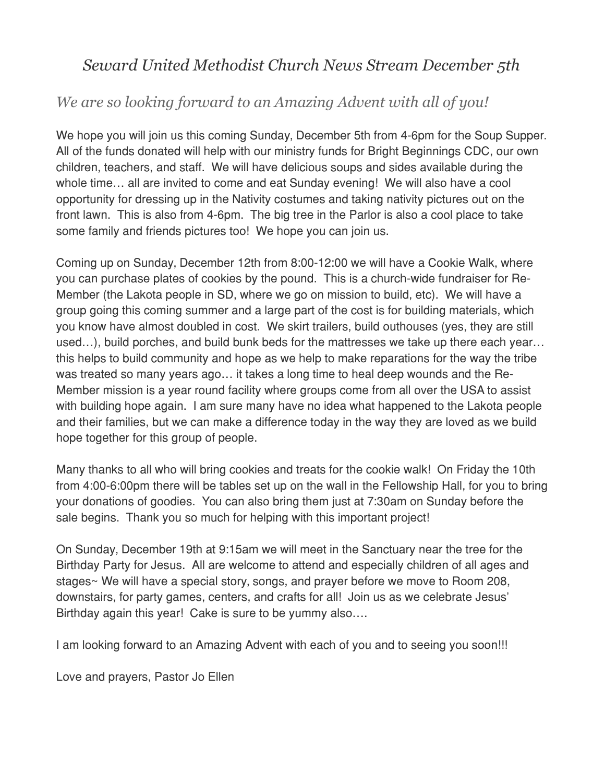# *Seward United Methodist Church News Stream December 5th*

# *We are so looking forward to an Amazing Advent with all of you!*

We hope you will join us this coming Sunday, December 5th from 4-6pm for the Soup Supper. All of the funds donated will help with our ministry funds for Bright Beginnings CDC, our own children, teachers, and staff. We will have delicious soups and sides available during the whole time… all are invited to come and eat Sunday evening! We will also have a cool opportunity for dressing up in the Nativity costumes and taking nativity pictures out on the front lawn. This is also from 4-6pm. The big tree in the Parlor is also a cool place to take some family and friends pictures too! We hope you can join us.

Coming up on Sunday, December 12th from 8:00-12:00 we will have a Cookie Walk, where you can purchase plates of cookies by the pound. This is a church-wide fundraiser for Re-Member (the Lakota people in SD, where we go on mission to build, etc). We will have a group going this coming summer and a large part of the cost is for building materials, which you know have almost doubled in cost. We skirt trailers, build outhouses (yes, they are still used…), build porches, and build bunk beds for the mattresses we take up there each year… this helps to build community and hope as we help to make reparations for the way the tribe was treated so many years ago… it takes a long time to heal deep wounds and the Re-Member mission is a year round facility where groups come from all over the USA to assist with building hope again. I am sure many have no idea what happened to the Lakota people and their families, but we can make a difference today in the way they are loved as we build hope together for this group of people.

Many thanks to all who will bring cookies and treats for the cookie walk! On Friday the 10th from 4:00-6:00pm there will be tables set up on the wall in the Fellowship Hall, for you to bring your donations of goodies. You can also bring them just at 7:30am on Sunday before the sale begins. Thank you so much for helping with this important project!

On Sunday, December 19th at 9:15am we will meet in the Sanctuary near the tree for the Birthday Party for Jesus. All are welcome to attend and especially children of all ages and stages~ We will have a special story, songs, and prayer before we move to Room 208, downstairs, for party games, centers, and crafts for all! Join us as we celebrate Jesus' Birthday again this year! Cake is sure to be yummy also….

I am looking forward to an Amazing Advent with each of you and to seeing you soon!!!

Love and prayers, Pastor Jo Ellen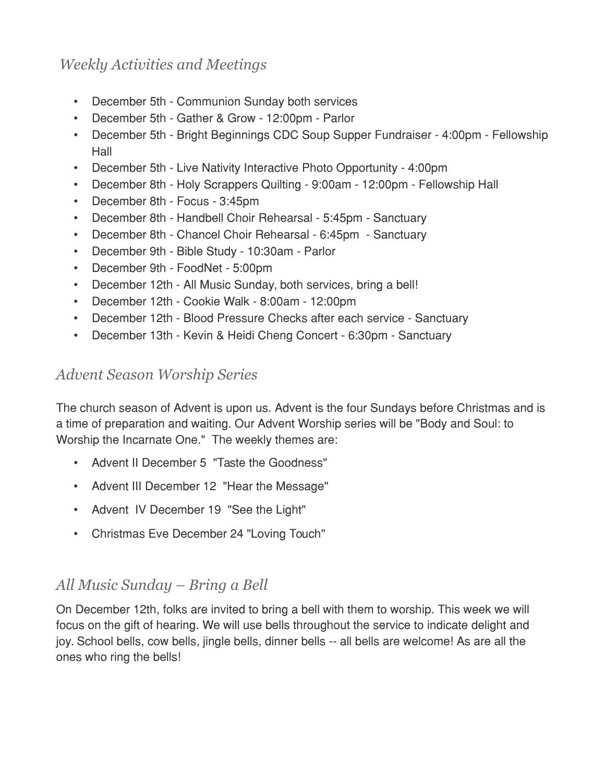## *Weekly Activities and Meetings*

- December 5th Communion Sunday both services
- December 5th Gather & Grow 12:00pm Parlor
- December 5th Bright Beginnings CDC Soup Supper Fundraiser 4:00pm Fellowship Hall
- December 5th Live Nativity Interactive Photo Opportunity 4:00pm
- December 8th Holy Scrappers Quilting 9:00am 12:00pm Fellowship Hall
- December 8th Focus 3:45pm
- December 8th Handbell Choir Rehearsal 5:45pm Sanctuary
- December 8th Chancel Choir Rehearsal 6:45pm Sanctuary
- December 9th Bible Study 10:30am Parlor
- December 9th FoodNet 5:00pm
- December 12th All Music Sunday, both services, bring a bell!
- December 12th Cookie Walk 8:00am 12:00pm
- December 12th Blood Pressure Checks after each service Sanctuary
- December 13th Kevin & Heidi Cheng Concert 6:30pm Sanctuary

## *Advent Season Worship Series*

The church season of Advent is upon us. Advent is the four Sundays before Christmas and is a time of preparation and waiting. Our Advent Worship series will be "Body and Soul: to Worship the Incarnate One." The weekly themes are:

- Advent II December 5 "Taste the Goodness"
- Advent III December 12 "Hear the Message"
- Advent IV December 19 "See the Light"
- Christmas Eve December 24 "Loving Touch"

## *All Music Sunday – Bring a Bell*

On December 12th, folks are invited to bring a bell with them to worship. This week we will focus on the gift of hearing. We will use bells throughout the service to indicate delight and joy. School bells, cow bells, jingle bells, dinner bells -- all bells are welcome! As are all the ones who ring the bells!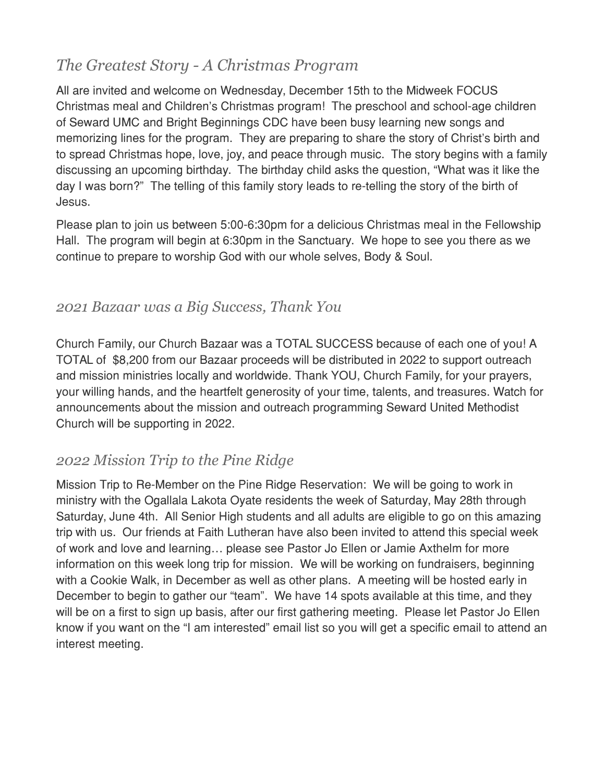# *The Greatest Story - A Christmas Program*

All are invited and welcome on Wednesday, December 15th to the Midweek FOCUS Christmas meal and Children's Christmas program! The preschool and school-age children of Seward UMC and Bright Beginnings CDC have been busy learning new songs and memorizing lines for the program. They are preparing to share the story of Christ's birth and to spread Christmas hope, love, joy, and peace through music. The story begins with a family discussing an upcoming birthday. The birthday child asks the question, "What was it like the day I was born?" The telling of this family story leads to re-telling the story of the birth of Jesus.

Please plan to join us between 5:00-6:30pm for a delicious Christmas meal in the Fellowship Hall. The program will begin at 6:30pm in the Sanctuary. We hope to see you there as we continue to prepare to worship God with our whole selves, Body & Soul.

#### *2021 Bazaar was a Big Success, Thank You*

Church Family, our Church Bazaar was a TOTAL SUCCESS because of each one of you! A TOTAL of \$8,200 from our Bazaar proceeds will be distributed in 2022 to support outreach and mission ministries locally and worldwide. Thank YOU, Church Family, for your prayers, your willing hands, and the heartfelt generosity of your time, talents, and treasures. Watch for announcements about the mission and outreach programming Seward United Methodist Church will be supporting in 2022.

# *2022 Mission Trip to the Pine Ridge*

Mission Trip to Re-Member on the Pine Ridge Reservation: We will be going to work in ministry with the Ogallala Lakota Oyate residents the week of Saturday, May 28th through Saturday, June 4th. All Senior High students and all adults are eligible to go on this amazing trip with us. Our friends at Faith Lutheran have also been invited to attend this special week of work and love and learning… please see Pastor Jo Ellen or Jamie Axthelm for more information on this week long trip for mission. We will be working on fundraisers, beginning with a Cookie Walk, in December as well as other plans. A meeting will be hosted early in December to begin to gather our "team". We have 14 spots available at this time, and they will be on a first to sign up basis, after our first gathering meeting. Please let Pastor Jo Ellen know if you want on the "I am interested" email list so you will get a specific email to attend an interest meeting.